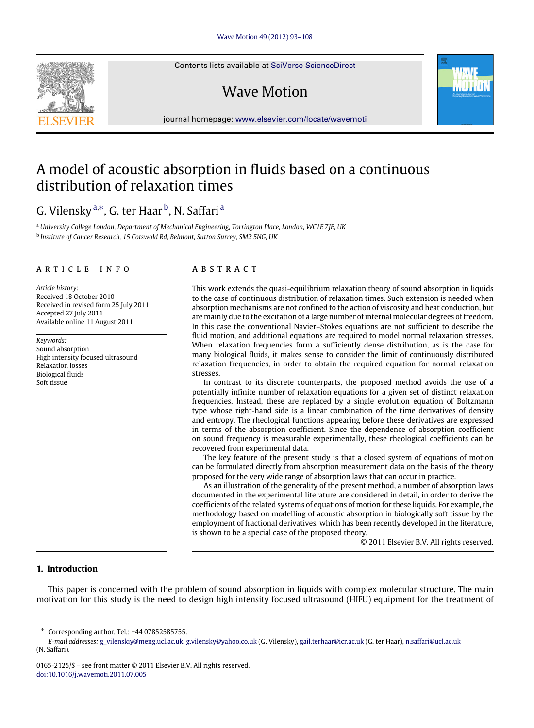Contents lists available at [SciVerse ScienceDirect](http://www.elsevier.com/locate/wavemoti)

# Wave Motion



journal homepage: [www.elsevier.com/locate/wavemoti](http://www.elsevier.com/locate/wavemoti)

## A model of acoustic absorption in fluids based on a continuous distribution of relaxation times

## G. Vilensky ª,\*, G. ter Haar <sup>[b](#page-0-2)</sup>, N. S[a](#page-0-0)ffari <sup>a</sup>

<span id="page-0-2"></span><span id="page-0-0"></span><sup>a</sup> *University College London, Department of Mechanical Engineering, Torrington Place, London, WC1E 7JE, UK* b *Institute of Cancer Research, 15 Cotswold Rd, Belmont, Sutton Surrey, SM2 5NG, UK*

## a r t i c l e i n f o

*Article history:* Received 18 October 2010 Received in revised form 25 July 2011 Accepted 27 July 2011 Available online 11 August 2011

*Keywords:* Sound absorption High intensity focused ultrasound Relaxation losses Biological fluids Soft tissue

## a b s t r a c t

This work extends the quasi-equilibrium relaxation theory of sound absorption in liquids to the case of continuous distribution of relaxation times. Such extension is needed when absorption mechanisms are not confined to the action of viscosity and heat conduction, but are mainly due to the excitation of a large number of internal molecular degrees of freedom. In this case the conventional Navier–Stokes equations are not sufficient to describe the fluid motion, and additional equations are required to model normal relaxation stresses. When relaxation frequencies form a sufficiently dense distribution, as is the case for many biological fluids, it makes sense to consider the limit of continuously distributed relaxation frequencies, in order to obtain the required equation for normal relaxation stresses.

In contrast to its discrete counterparts, the proposed method avoids the use of a potentially infinite number of relaxation equations for a given set of distinct relaxation frequencies. Instead, these are replaced by a single evolution equation of Boltzmann type whose right-hand side is a linear combination of the time derivatives of density and entropy. The rheological functions appearing before these derivatives are expressed in terms of the absorption coefficient. Since the dependence of absorption coefficient on sound frequency is measurable experimentally, these rheological coefficients can be recovered from experimental data.

The key feature of the present study is that a closed system of equations of motion can be formulated directly from absorption measurement data on the basis of the theory proposed for the very wide range of absorption laws that can occur in practice.

As an illustration of the generality of the present method, a number of absorption laws documented in the experimental literature are considered in detail, in order to derive the coefficients of the related systems of equations of motion for these liquids. For example, the methodology based on modelling of acoustic absorption in biologically soft tissue by the employment of fractional derivatives, which has been recently developed in the literature, is shown to be a special case of the proposed theory.

© 2011 Elsevier B.V. All rights reserved.

## **1. Introduction**

This paper is concerned with the problem of sound absorption in liquids with complex molecular structure. The main motivation for this study is the need to design high intensity focused ultrasound (HIFU) equipment for the treatment of



<span id="page-0-1"></span><sup>∗</sup> Corresponding author. Tel.: +44 07852585755.

*E-mail addresses:* [g\\_vilenskiy@meng.ucl.ac.uk,](mailto:g_vilenskiy@meng.ucl.ac.uk) [g.vilensky@yahoo.co.uk](mailto:g.vilensky@yahoo.co.uk) (G. Vilensky), [gail.terhaar@icr.ac.uk](mailto:gail.terhaar@icr.ac.uk) (G. ter Haar), [n.saffari@ucl.ac.uk](mailto:n.saffari@ucl.ac.uk) (N. Saffari).

<sup>0165-2125/\$ –</sup> see front matter © 2011 Elsevier B.V. All rights reserved. [doi:10.1016/j.wavemoti.2011.07.005](http://dx.doi.org/10.1016/j.wavemoti.2011.07.005)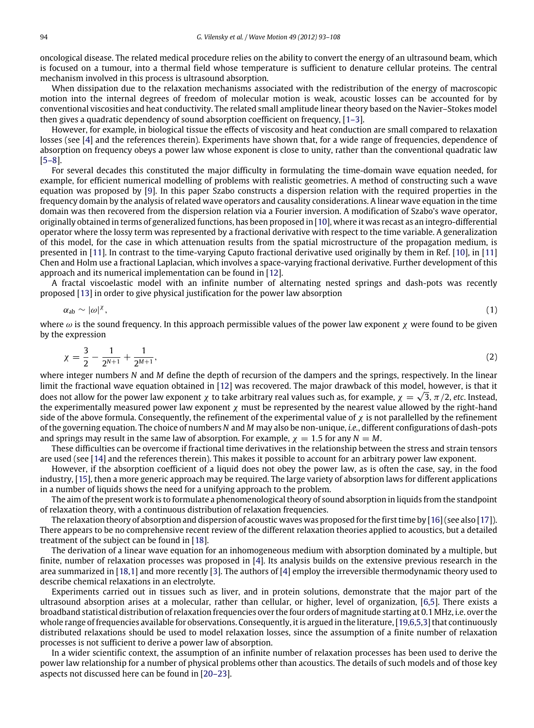oncological disease. The related medical procedure relies on the ability to convert the energy of an ultrasound beam, which is focused on a tumour, into a thermal field whose temperature is sufficient to denature cellular proteins. The central mechanism involved in this process is ultrasound absorption.

When dissipation due to the relaxation mechanisms associated with the redistribution of the energy of macroscopic motion into the internal degrees of freedom of molecular motion is weak, acoustic losses can be accounted for by conventional viscosities and heat conductivity. The related small amplitude linear theory based on the Navier–Stokes model then gives a quadratic dependency of sound absorption coefficient on frequency, [\[1–3\]](#page-14-0).

However, for example, in biological tissue the effects of viscosity and heat conduction are small compared to relaxation losses (see [\[4\]](#page-14-1) and the references therein). Experiments have shown that, for a wide range of frequencies, dependence of absorption on frequency obeys a power law whose exponent is close to unity, rather than the conventional quadratic law [\[5–8\]](#page-14-2).

For several decades this constituted the major difficulty in formulating the time-domain wave equation needed, for example, for efficient numerical modelling of problems with realistic geometries. A method of constructing such a wave equation was proposed by [\[9\]](#page-14-3). In this paper Szabo constructs a dispersion relation with the required properties in the frequency domain by the analysis of related wave operators and causality considerations. A linear wave equation in the time domain was then recovered from the dispersion relation via a Fourier inversion. A modification of Szabo's wave operator, originally obtained in terms of generalized functions, has been proposed in [\[10\]](#page-14-4), where it was recast as an integro-differential operator where the lossy term was represented by a fractional derivative with respect to the time variable. A generalization of this model, for the case in which attenuation results from the spatial microstructure of the propagation medium, is presented in [\[11\]](#page-14-5). In contrast to the time-varying Caputo fractional derivative used originally by them in Ref. [\[10\]](#page-14-4), in [\[11\]](#page-14-5) Chen and Holm use a fractional Laplacian, which involves a space-varying fractional derivative. Further development of this approach and its numerical implementation can be found in [\[12\]](#page-14-6).

A fractal viscoelastic model with an infinite number of alternating nested springs and dash-pots was recently proposed [\[13\]](#page-14-7) in order to give physical justification for the power law absorption

$$
\alpha_{ab} \sim |\omega|^{\chi}, \tag{1}
$$

where  $\omega$  is the sound frequency. In this approach permissible values of the power law exponent  $\chi$  were found to be given by the expression

<span id="page-1-0"></span>
$$
\chi = \frac{3}{2} - \frac{1}{2^{N+1}} + \frac{1}{2^{M+1}},\tag{2}
$$

where integer numbers *N* and *M* define the depth of recursion of the dampers and the springs, respectively. In the linear limit the fractional wave equation obtained in [\[12\]](#page-14-6) was recovered. The major drawback of this model, however, is that it does not allow for the power law exponent  $\chi$  to take arbitrary real values such as, for example,  $\chi=\sqrt{3},\pi/2$ , etc. Instead, the experimentally measured power law exponent  $\chi$  must be represented by the nearest value allowed by the right-hand side of the above formula. Consequently, the refinement of the experimental value of  $\chi$  is not parallelled by the refinement of the governing equation. The choice of numbers *N* and *M* may also be non-unique, *i.e.*, different configurations of dash-pots and springs may result in the same law of absorption. For example,  $\chi = 1.5$  for any  $N = M$ .

These difficulties can be overcome if fractional time derivatives in the relationship between the stress and strain tensors are used (see [\[14\]](#page-14-8) and the references therein). This makes it possible to account for an arbitrary power law exponent.

However, if the absorption coefficient of a liquid does not obey the power law, as is often the case, say, in the food industry, [\[15\]](#page-14-9), then a more generic approach may be required. The large variety of absorption laws for different applications in a number of liquids shows the need for a unifying approach to the problem.

The aim of the present work is to formulate a phenomenological theory of sound absorption in liquids from the standpoint of relaxation theory, with a continuous distribution of relaxation frequencies.

The relaxation theory of absorption and dispersion of acoustic waves was proposed for the first time by [\[16\]](#page-14-10) (see also [\[17\]](#page-14-11)). There appears to be no comprehensive recent review of the different relaxation theories applied to acoustics, but a detailed treatment of the subject can be found in [\[18\]](#page-14-12).

The derivation of a linear wave equation for an inhomogeneous medium with absorption dominated by a multiple, but finite, number of relaxation processes was proposed in [\[4\]](#page-14-1). Its analysis builds on the extensive previous research in the area summarized in [\[18,](#page-14-12)[1\]](#page-14-0) and more recently [\[3\]](#page-14-13). The authors of [\[4\]](#page-14-1) employ the irreversible thermodynamic theory used to describe chemical relaxations in an electrolyte.

Experiments carried out in tissues such as liver, and in protein solutions, demonstrate that the major part of the ultrasound absorption arises at a molecular, rather than cellular, or higher, level of organization, [\[6,](#page-14-14)[5\]](#page-14-2). There exists a broadband statistical distribution of relaxation frequencies over the four orders of magnitude starting at 0.1 MHz, i.e. over the whole range of frequencies available for observations. Consequently, it is argued in the literature, [\[19,](#page-14-15)[6,](#page-14-14)[5](#page-14-2)[,3\]](#page-14-13) that continuously distributed relaxations should be used to model relaxation losses, since the assumption of a finite number of relaxation processes is not sufficient to derive a power law of absorption.

In a wider scientific context, the assumption of an infinite number of relaxation processes has been used to derive the power law relationship for a number of physical problems other than acoustics. The details of such models and of those key aspects not discussed here can be found in [\[20–23\]](#page-14-16).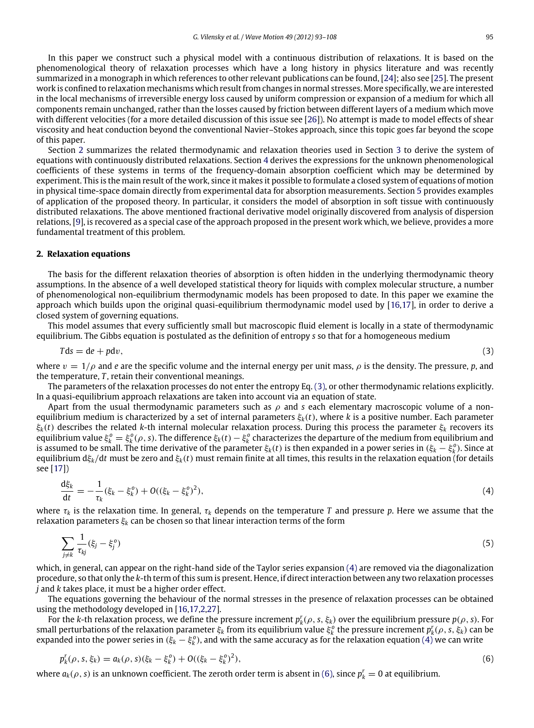In this paper we construct such a physical model with a continuous distribution of relaxations. It is based on the phenomenological theory of relaxation processes which have a long history in physics literature and was recently summarized in a monograph in which references to other relevant publications can be found, [\[24\]](#page-14-17); also see [\[25\]](#page-14-18). The present work is confined to relaxation mechanisms which result from changes in normal stresses. More specifically, we are interested in the local mechanisms of irreversible energy loss caused by uniform compression or expansion of a medium for which all components remain unchanged, rather than the losses caused by friction between different layers of a medium which move with different velocities (for a more detailed discussion of this issue see [\[26\]](#page-14-19)). No attempt is made to model effects of shear viscosity and heat conduction beyond the conventional Navier–Stokes approach, since this topic goes far beyond the scope of this paper.

Section [2](#page-2-0) summarizes the related thermodynamic and relaxation theories used in Section [3](#page-4-0) to derive the system of equations with continuously distributed relaxations. Section [4](#page-5-0) derives the expressions for the unknown phenomenological coefficients of these systems in terms of the frequency-domain absorption coefficient which may be determined by experiment. This is the main result of the work, since it makes it possible to formulate a closed system of equations of motion in physical time-space domain directly from experimental data for absorption measurements. Section [5](#page-8-0) provides examples of application of the proposed theory. In particular, it considers the model of absorption in soft tissue with continuously distributed relaxations. The above mentioned fractional derivative model originally discovered from analysis of dispersion relations, [\[9\]](#page-14-3), is recovered as a special case of the approach proposed in the present work which, we believe, provides a more fundamental treatment of this problem.

#### <span id="page-2-0"></span>**2. Relaxation equations**

The basis for the different relaxation theories of absorption is often hidden in the underlying thermodynamic theory assumptions. In the absence of a well developed statistical theory for liquids with complex molecular structure, a number of phenomenological non-equilibrium thermodynamic models has been proposed to date. In this paper we examine the approach which builds upon the original quasi-equilibrium thermodynamic model used by [\[16,](#page-14-10)[17\]](#page-14-11), in order to derive a closed system of governing equations.

This model assumes that every sufficiently small but macroscopic fluid element is locally in a state of thermodynamic equilibrium. The Gibbs equation is postulated as the definition of entropy *s* so that for a homogeneous medium

<span id="page-2-1"></span>
$$
Tds = de + pdv,
$$
\n(3)

where  $v = 1/\rho$  and *e* are the specific volume and the internal energy per unit mass,  $\rho$  is the density. The pressure, p, and the temperature, *T* , retain their conventional meanings.

The parameters of the relaxation processes do not enter the entropy Eq. [\(3\),](#page-2-1) or other thermodynamic relations explicitly. In a quasi-equilibrium approach relaxations are taken into account via an equation of state.

Apart from the usual thermodynamic parameters such as ρ and *s* each elementary macroscopic volume of a nonequilibrium medium is characterized by a set of internal parameters ξ*k*(*t*), where *k* is a positive number. Each parameter ξ*k*(*t*) describes the related *k*-th internal molecular relaxation process. During this process the parameter ξ*<sup>k</sup>* recovers its equilibrium value  $\xi_k^o = \xi_k^o(\rho, s)$ . The difference  $\xi_k(t) - \xi_k^o$  characterizes the departure of the medium from equilibrium and is assumed to be small. The time derivative of the parameter  $\xi_k(t)$  is then expanded in a power series in  $(\xi_k-\xi_k^o)$ . Since at equilibrium dξ*k*/d*t* must be zero and ξ*k*(*t*) must remain finite at all times, this results in the relaxation equation (for details see [\[17\]](#page-14-11))

<span id="page-2-2"></span>
$$
\frac{d\xi_k}{dt} = -\frac{1}{\tau_k}(\xi_k - \xi_k^0) + O((\xi_k - \xi_k^0)^2),\tag{4}
$$

where τ*<sup>k</sup>* is the relaxation time. In general, τ*<sup>k</sup>* depends on the temperature *T* and pressure *p*. Here we assume that the relaxation parameters ξ*<sup>k</sup>* can be chosen so that linear interaction terms of the form

$$
\sum_{j \neq k} \frac{1}{\tau_{kj}} (\xi_j - \xi_j^o) \tag{5}
$$

which, in general, can appear on the right-hand side of the Taylor series expansion [\(4\)](#page-2-2) are removed via the diagonalization procedure, so that only the *k*-th term of this sum is present. Hence, if direct interaction between any two relaxation processes *j* and *k* takes place, it must be a higher order effect.

The equations governing the behaviour of the normal stresses in the presence of relaxation processes can be obtained using the methodology developed in [\[16,](#page-14-10)[17,](#page-14-11)[2](#page-14-20)[,27\]](#page-14-21).

For the *k*-th relaxation process, we define the pressure increment  $p_k^r(\rho, s, \xi_k)$  over the equilibrium pressure  $p(\rho, s)$ . For small perturbations of the relaxation parameter  $\xi_k$  from its equilibrium value  $\xi_k^o$  the pressure increment  $p_k^r(\rho,s,\xi_k)$  can be expanded into the power series in ( $\xi_k-\xi_k^o$ ), and with the same accuracy as for the relaxation equation [\(4\)](#page-2-2) we can write

<span id="page-2-3"></span>
$$
p_k^r(\rho, s, \xi_k) = a_k(\rho, s)(\xi_k - \xi_k^0) + O((\xi_k - \xi_k^0)^2),
$$
\n(6)

where  $a_k(\rho, s)$  is an unknown coefficient. The zeroth order term is absent in [\(6\),](#page-2-3) since  $p_k^r = 0$  at equilibrium.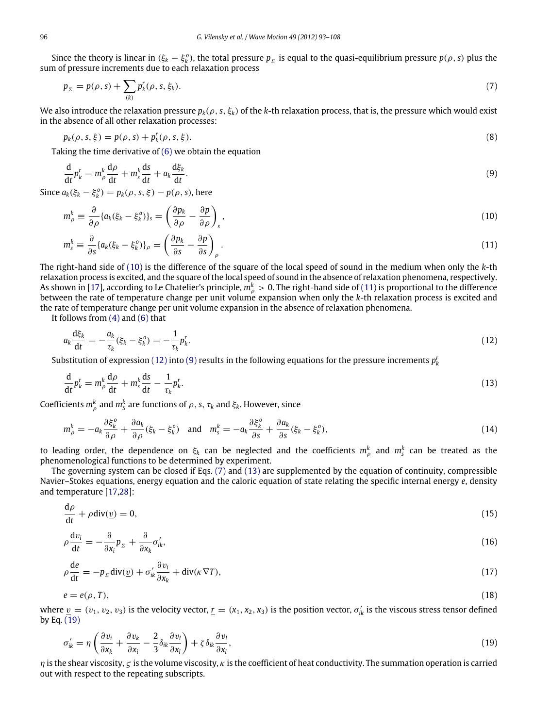Since the theory is linear in  $(\xi_k - \xi_k^0)$ , the total pressure  $p_{\Sigma}$  is equal to the quasi-equilibrium pressure  $p(\rho, s)$  plus the sum of pressure increments due to each relaxation process

<span id="page-3-4"></span>
$$
p_{\Sigma} = p(\rho, s) + \sum_{(k)} p_k^r(\rho, s, \xi_k).
$$
\n(7)

We also introduce the relaxation pressure  $p_k(\rho, s, \xi_k)$  of the *k*-th relaxation process, that is, the pressure which would exist in the absence of all other relaxation processes:

<span id="page-3-3"></span>
$$
p_k(\rho, s, \xi) = p(\rho, s) + p_k^r(\rho, s, \xi).
$$
\n(8)

Taking the time derivative of [\(6\)](#page-2-3) we obtain the equation

$$
\frac{\mathrm{d}}{\mathrm{d}t}p_k^r = m_\rho^k \frac{\mathrm{d}\rho}{\mathrm{d}t} + m_s^k \frac{\mathrm{d}s}{\mathrm{d}t} + a_k \frac{\mathrm{d}\xi_k}{\mathrm{d}t}.\tag{9}
$$

Since  $a_k(\xi_k - \xi_k^0) = p_k(\rho, s, \xi) - p(\rho, s)$ , here

<span id="page-3-0"></span>
$$
m_{\rho}^{k} \equiv \frac{\partial}{\partial \rho} \{ a_{k} (\xi_{k} - \xi_{k}^{o}) \}_{s} = \left( \frac{\partial p_{k}}{\partial \rho} - \frac{\partial p}{\partial \rho} \right)_{s},
$$
\n(10)

<span id="page-3-1"></span>
$$
m_s^k \equiv \frac{\partial}{\partial s} \{ a_k (\xi_k - \xi_k^o) \}_\rho = \left( \frac{\partial p_k}{\partial s} - \frac{\partial p}{\partial s} \right)_\rho.
$$
\n(11)

The right-hand side of [\(10\)](#page-3-0) is the difference of the square of the local speed of sound in the medium when only the *k*-th relaxation process is excited, and the square of the local speed of sound in the absence of relaxation phenomena, respectively. As shown in [\[17\]](#page-14-11), according to Le Chatelier's principle,  $m_\rho^k>0.$  The right-hand side of [\(11\)](#page-3-1) is proportional to the difference between the rate of temperature change per unit volume expansion when only the k-th relaxation process is excited and the rate of temperature change per unit volume expansion in the absence of relaxation phenomena.

It follows from [\(4\)](#page-2-2) and [\(6\)](#page-2-3) that

<span id="page-3-2"></span>
$$
a_k \frac{\mathrm{d}\xi_k}{\mathrm{d}t} = -\frac{a_k}{\tau_k} (\xi_k - \xi_k^o) = -\frac{1}{\tau_k} p_k^r. \tag{12}
$$

Substitution of expression [\(12\)](#page-3-2) into [\(9\)](#page-3-3) results in the following equations for the pressure increments  $p_k^r$ 

<span id="page-3-5"></span>
$$
\frac{\mathrm{d}}{\mathrm{d}t}p_k^r = m_\rho^k \frac{\mathrm{d}\rho}{\mathrm{d}t} + m_s^k \frac{\mathrm{d}s}{\mathrm{d}t} - \frac{1}{\tau_k}p_k^r. \tag{13}
$$

Coefficients  $m_{\rho}^k$  and  $m_{\tilde{S}}^k$  are functions of  $\rho$ , *s*,  $\tau_k$  and  $\xi_k$ . However, since

$$
m_{\rho}^{k} = -a_{k} \frac{\partial \xi_{k}^{\rho}}{\partial \rho} + \frac{\partial a_{k}}{\partial \rho} (\xi_{k} - \xi_{k}^{\rho}) \quad \text{and} \quad m_{s}^{k} = -a_{k} \frac{\partial \xi_{k}^{\rho}}{\partial s} + \frac{\partial a_{k}}{\partial s} (\xi_{k} - \xi_{k}^{\rho}), \tag{14}
$$

to leading order, the dependence on  $\xi_k$  can be neglected and the coefficients  $m_\rho^k$  and  $m_s^k$  can be treated as the phenomenological functions to be determined by experiment.

The governing system can be closed if Eqs. [\(7\)](#page-3-4) and [\(13\)](#page-3-5) are supplemented by the equation of continuity, compressible Navier–Stokes equations, energy equation and the caloric equation of state relating the specific internal energy *e*, density and temperature [\[17,](#page-14-11)[28\]](#page-14-22):

<span id="page-3-8"></span>
$$
\frac{\mathrm{d}\rho}{\mathrm{d}t} + \rho \mathrm{div}(\underline{v}) = 0,\tag{15}
$$

$$
\rho \frac{\mathrm{d}v_i}{\mathrm{d}t} = -\frac{\partial}{\partial x_i} p_{\Sigma} + \frac{\partial}{\partial x_k} \sigma'_{ik},\tag{16}
$$

$$
\rho \frac{\mathrm{d}e}{\mathrm{d}t} = -p_{\Sigma} \mathrm{div}(\underline{v}) + \sigma'_{ik} \frac{\partial v_i}{\partial x_k} + \mathrm{div}(\kappa \nabla T),\tag{17}
$$

<span id="page-3-7"></span>
$$
e = e(\rho, T),\tag{18}
$$

where  $\underline{v} = (v_1, v_2, v_3)$  is the velocity vector,  $\underline{r} = (x_1, x_2, x_3)$  is the position vector,  $\sigma'_{ik}$  is the viscous stress tensor defined by Eq. [\(19\)](#page-3-6)

<span id="page-3-6"></span>
$$
\sigma'_{ik} = \eta \left( \frac{\partial v_i}{\partial x_k} + \frac{\partial v_k}{\partial x_i} - \frac{2}{3} \delta_{ik} \frac{\partial v_l}{\partial x_l} \right) + \zeta \delta_{ik} \frac{\partial v_l}{\partial x_l},\tag{19}
$$

 $\eta$  is the shear viscosity,  $\zeta$  is the volume viscosity,  $\kappa$  is the coefficient of heat conductivity. The summation operation is carried out with respect to the repeating subscripts.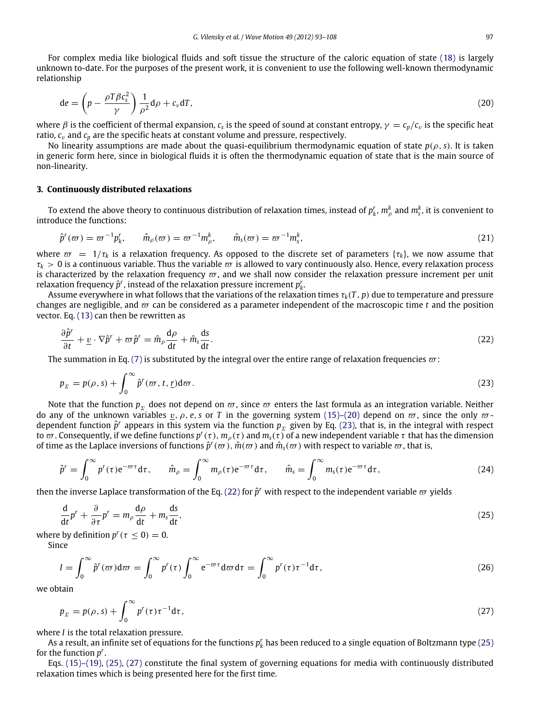For complex media like biological fluids and soft tissue the structure of the caloric equation of state [\(18\)](#page-3-7) is largely unknown to-date. For the purposes of the present work, it is convenient to use the following well-known thermodynamic relationship

$$
\mathrm{d}e = \left(p - \frac{\rho T \beta c_s^2}{\gamma}\right) \frac{1}{\rho^2} \mathrm{d}\rho + c_v \mathrm{d}T,\tag{20}
$$

where  $\beta$  is the coefficient of thermal expansion,  $c_s$  is the speed of sound at constant entropy,  $\gamma = c_p/c_v$  is the specific heat ratio,  $c_v$  and  $c_p$  are the specific heats at constant volume and pressure, respectively.

No linearity assumptions are made about the quasi-equilibrium thermodynamic equation of state *p*(ρ, *s*). It is taken in generic form here, since in biological fluids it is often the thermodynamic equation of state that is the main source of non-linearity.

## <span id="page-4-0"></span>**3. Continuously distributed relaxations**

To extend the above theory to continuous distribution of relaxation times, instead of  $p^r_k$ ,  $m^k_\rho$  and  $m^k_s$ , it is convenient to introduce the functions:

$$
\hat{p}^r(\varpi) = \varpi^{-1} p_k^r, \qquad \hat{m}_\rho(\varpi) = \varpi^{-1} m_\rho^k, \qquad \hat{m}_s(\varpi) = \varpi^{-1} m_s^k,
$$
\n(21)

where  $\bar{\omega} = 1/\tau_k$  is a relaxation frequency. As opposed to the discrete set of parameters  $\{\tau_k\}$ , we now assume that  $\tau_k > 0$  is a continuous variable. Thus the variable  $\omega$  is allowed to vary continuously also. Hence, every relaxation process is characterized by the relaxation frequency  $\varpi$ , and we shall now consider the relaxation pressure increment per unit relaxation frequency  $\hat{p}^r$ , instead of the relaxation pressure increment  $p^r_k$ .

Assume everywhere in what follows that the variations of the relaxation times  $\tau_k(T, p)$  due to temperature and pressure changes are negligible, and  $\bar{\omega}$  can be considered as a parameter independent of the macroscopic time t and the position vector. Eq. [\(13\)](#page-3-5) can then be rewritten as

<span id="page-4-2"></span>
$$
\frac{\partial \hat{p}^r}{\partial t} + \underline{v} \cdot \nabla \hat{p}^r + \omega \hat{p}^r = \hat{m}_\rho \frac{d\rho}{dt} + \hat{m}_s \frac{ds}{dt}.
$$
\n(22)

The summation in Eq. [\(7\)](#page-3-4) is substituted by the integral over the entire range of relaxation frequencies  $\varpi$ :

<span id="page-4-1"></span>
$$
p_{\Sigma} = p(\rho, s) + \int_0^\infty \hat{p}^r(\omega, t, \underline{r}) d\omega.
$$
 (23)

Note that the function  $p_{\Sigma}$  does not depend on  $\varpi$ , since  $\varpi$  enters the last formula as an integration variable. Neither do any of the unknown variables  $\underline{v}$ ,  $\rho$ ,  $e$ ,  $s$  or  $T$  in the governing system [\(15\)–\(20\)](#page-3-8) depend on  $\varpi$ , since the only  $\varpi$ dependent function  $\hat{p}^r$  appears in this system via the function  $p_{\Sigma}$  given by Eq. [\(23\),](#page-4-1) that is, in the integral with respect to  $\varpi$ . Consequently, if we define functions  $p^r(\tau),$   $m_\rho(\tau)$  and  $m_s(\tau)$  of a new independent variable  $\tau$  that has the dimension of time as the Laplace inversions of functions  $\hat p^r(\varpi),\hat m(\varpi)$  and  $\hat m_s(\varpi)$  with respect to variable  $\varpi$  , that is,

$$
\hat{p}^r = \int_0^\infty p^r(\tau) e^{-\varpi \tau} d\tau, \qquad \hat{m}_\rho = \int_0^\infty m_\rho(\tau) e^{-\varpi \tau} d\tau, \qquad \hat{m}_s = \int_0^\infty m_s(\tau) e^{-\varpi \tau} d\tau,
$$
\n(24)

then the inverse Laplace transformation of the Eq. [\(22\)](#page-4-2) for  $\hat p^r$  with respect to the independent variable  $\varpi$  yields

<span id="page-4-3"></span>
$$
\frac{\mathrm{d}}{\mathrm{d}t}p^r + \frac{\partial}{\partial \tau}p^r = m_\rho \frac{\mathrm{d}\rho}{\mathrm{d}t} + m_\text{s} \frac{\mathrm{d}s}{\mathrm{d}t},\tag{25}
$$

where by definition  $p^r$  ( $\tau \leq 0$ ) = 0.

Since

<span id="page-4-5"></span><span id="page-4-4"></span>
$$
I = \int_0^\infty \hat{p}^r(\omega) d\omega = \int_0^\infty p^r(\tau) \int_0^\infty e^{-\omega \tau} d\omega d\tau = \int_0^\infty p^r(\tau) \tau^{-1} d\tau,
$$
\n(26)

we obtain

$$
p_{\Sigma} = p(\rho, s) + \int_0^\infty p^r(\tau) \tau^{-1} d\tau,
$$
\n(27)

where *I* is the total relaxation pressure.

As a result, an infinite set of equations for the functions  $p_k^r$  has been reduced to a single equation of Boltzmann type [\(25\)](#page-4-3) for the function *p r* .

Eqs. [\(15\)–\(19\),](#page-3-8) [\(25\),](#page-4-3) [\(27\)](#page-4-4) constitute the final system of governing equations for media with continuously distributed relaxation times which is being presented here for the first time.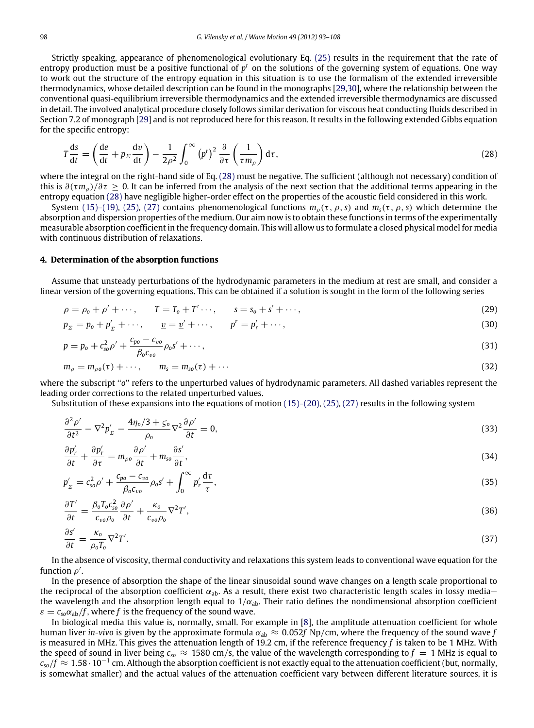Strictly speaking, appearance of phenomenological evolutionary Eq. [\(25\)](#page-4-3) results in the requirement that the rate of entropy production must be a positive functional of p<sup>r</sup> on the solutions of the governing system of equations. One way to work out the structure of the entropy equation in this situation is to use the formalism of the extended irreversible thermodynamics, whose detailed description can be found in the monographs [\[29](#page-14-23)[,30\]](#page-14-24), where the relationship between the conventional quasi-equilibrium irreversible thermodynamics and the extended irreversible thermodynamics are discussed in detail. The involved analytical procedure closely follows similar derivation for viscous heat conducting fluids described in Section 7.2 of monograph [\[29\]](#page-14-23) and is not reproduced here for this reason. It results in the following extended Gibbs equation for the specific entropy:

<span id="page-5-1"></span>
$$
T\frac{\mathrm{ds}}{\mathrm{dt}} = \left(\frac{\mathrm{d}e}{\mathrm{d}t} + p_{\Sigma}\frac{\mathrm{d}v}{\mathrm{d}t}\right) - \frac{1}{2\rho^2} \int_0^\infty \left(p^r\right)^2 \frac{\partial}{\partial\tau} \left(\frac{1}{\tau m_\rho}\right) \mathrm{d}\tau,\tag{28}
$$

where the integral on the right-hand side of Eq. [\(28\)](#page-5-1) must be negative. The sufficient (although not necessary) condition of this is  $\partial(\tau m_o)/\partial \tau > 0$ . It can be inferred from the analysis of the next section that the additional terms appearing in the entropy equation [\(28\)](#page-5-1) have negligible higher-order effect on the properties of the acoustic field considered in this work.

System [\(15\)–\(19\),](#page-3-8) [\(25\),](#page-4-3) [\(27\)](#page-4-4) contains phenomenological functions  $m<sub>o</sub>(\tau, \rho, s)$  and  $m<sub>s</sub>(\tau, \rho, s)$  which determine the absorption and dispersion properties of the medium. Our aim now is to obtain these functions in terms of the experimentally measurable absorption coefficient in the frequency domain. This will allow us to formulate a closed physical model for media with continuous distribution of relaxations.

## <span id="page-5-0"></span>**4. Determination of the absorption functions**

Assume that unsteady perturbations of the hydrodynamic parameters in the medium at rest are small, and consider a linear version of the governing equations. This can be obtained if a solution is sought in the form of the following series

$$
\rho = \rho_0 + \rho' + \cdots, \qquad T = T_0 + T' \cdots, \qquad s = s_0 + s' + \cdots,
$$
\n(29)

$$
p_{\Sigma} = p_o + p'_{\Sigma} + \cdots, \qquad \underline{v} = \underline{v}' + \cdots, \qquad p^r = p'_r + \cdots,
$$
 (30)

$$
p = p_o + c_{so}^2 \rho' + \frac{c_{po} - c_{vo}}{\beta_o c_{vo}} \rho_o s' + \cdots,
$$
\n(31)

$$
m_{\rho} = m_{\rho 0}(\tau) + \cdots, \qquad m_{s} = m_{so}(\tau) + \cdots \tag{32}
$$

where the subscript ''*o*'' refers to the unperturbed values of hydrodynamic parameters. All dashed variables represent the leading order corrections to the related unperturbed values.

Substitution of these expansions into the equations of motion  $(15)-(20)$ ,  $(25)$ ,  $(27)$  results in the following system

$$
\frac{\partial^2 \rho'}{\partial t^2} - \nabla^2 p'_\Sigma - \frac{4\eta_0/3 + \varsigma_0}{\rho_0} \nabla^2 \frac{\partial \rho'}{\partial t} = 0,\tag{33}
$$

<span id="page-5-2"></span>
$$
\frac{\partial p'_r}{\partial t} + \frac{\partial p'_r}{\partial \tau} = m_{\rho 0} \frac{\partial \rho'}{\partial t} + m_{so} \frac{\partial s'}{\partial t},\tag{34}
$$

$$
p'_{\rm r} = c_{\rm so}^2 \rho' + \frac{c_{\rm po} - c_{\rm vo}}{\beta_0 c_{\rm vo}} \rho_{\rm o} s' + \int_0^\infty p'_r \frac{\mathrm{d}\tau}{\tau},\tag{35}
$$

$$
\frac{\partial T'}{\partial t} = \frac{\beta_0 T_0 c_{so}^2}{c_{vo} \rho_0} \frac{\partial \rho'}{\partial t} + \frac{\kappa_0}{c_{vo} \rho_0} \nabla^2 T',\tag{36}
$$

$$
\frac{\partial s'}{\partial t} = \frac{\kappa_0}{\rho_0 T_0} \nabla^2 T'.\tag{37}
$$

In the absence of viscosity, thermal conductivity and relaxations this system leads to conventional wave equation for the function  $\rho'$ .

In the presence of absorption the shape of the linear sinusoidal sound wave changes on a length scale proportional to the reciprocal of the absorption coefficient  $\alpha_{ab}$ . As a result, there exist two characteristic length scales in lossy media the wavelength and the absorption length equal to  $1/\alpha_{ab}$ . Their ratio defines the nondimensional absorption coefficient  $\varepsilon = c_{\rm so} \alpha_{\rm ab}/f$ , where f is the frequency of the sound wave.

In biological media this value is, normally, small. For example in [\[8\]](#page-14-25), the amplitude attenuation coefficient for whole human liver *in-vivo* is given by the approximate formula  $\alpha_{ab} \approx 0.052f$  Np/cm, where the frequency of the sound wave *f* is measured in MHz. This gives the attenuation length of 19.2 cm, if the reference frequency *f* is taken to be 1 MHz. With the speed of sound in liver being  $c_{so} \approx 1580$  cm/s, the value of the wavelength corresponding to  $f = 1$  MHz is equal to *<sup>c</sup>so*/*<sup>f</sup>* ≈ <sup>1</sup>.58·10−<sup>1</sup> cm. Although the absorption coefficient is not exactly equal to the attenuation coefficient (but, normally, is somewhat smaller) and the actual values of the attenuation coefficient vary between different literature sources, it is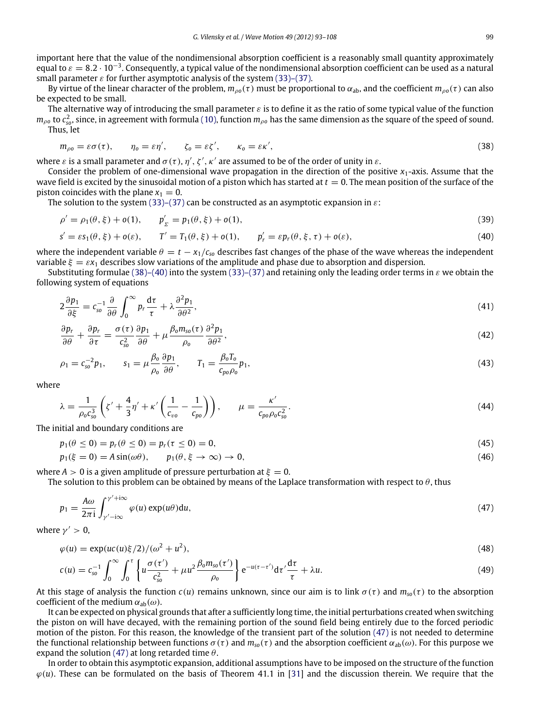important here that the value of the nondimensional absorption coefficient is a reasonably small quantity approximately equal to  $\varepsilon = 8.2 \cdot 10^{-3}$ . Consequently, a typical value of the nondimensional absorption coefficient can be used as a natural small parameter  $\varepsilon$  for further asymptotic analysis of the system [\(33\)–\(37\).](#page-5-2)

By virtue of the linear character of the problem,  $m_{\rho 0}(\tau)$  must be proportional to  $\alpha_{ab}$ , and the coefficient  $m_{\rho 0}(\tau)$  can also be expected to be small.

The alternative way of introducing the small parameter  $\varepsilon$  is to define it as the ratio of some typical value of the function  $m_{\rho o}$  to  $c_{so}^2$ , since, in agreement with formula [\(10\),](#page-3-0) function  $m_{\rho o}$  has the same dimension as the square of the speed of sound. Thus, let

<span id="page-6-0"></span>
$$
m_{\rho 0} = \varepsilon \sigma(\tau), \qquad \eta_0 = \varepsilon \eta', \qquad \zeta_0 = \varepsilon \zeta', \qquad \kappa_0 = \varepsilon \kappa', \tag{38}
$$

where  $\varepsilon$  is a small parameter and  $\sigma(\tau)$ ,  $\eta', \zeta', \kappa'$  are assumed to be of the order of unity in  $\varepsilon$ .

Consider the problem of one-dimensional wave propagation in the direction of the positive *x*1-axis. Assume that the wave field is excited by the sinusoidal motion of a piston which has started at *t* = 0. The mean position of the surface of the piston coincides with the plane  $x_1 = 0$ .

The solution to the system [\(33\)–\(37\)](#page-5-2) can be constructed as an asymptotic expansion in  $\varepsilon$ :

$$
\rho' = \rho_1(\theta, \xi) + o(1), \qquad p'_{\Sigma} = p_1(\theta, \xi) + o(1), \tag{39}
$$

$$
s' = \varepsilon s_1(\theta, \xi) + o(\varepsilon), \qquad T' = T_1(\theta, \xi) + o(1), \qquad p'_r = \varepsilon p_r(\theta, \xi, \tau) + o(\varepsilon), \tag{40}
$$

where the independent variable  $\theta = t - x_1/c_{so}$  describes fast changes of the phase of the wave whereas the independent variable  $\xi = \varepsilon x_1$  describes slow variations of the amplitude and phase due to absorption and dispersion.

Substituting formulae [\(38\)–\(40\)](#page-6-0) into the system [\(33\)–\(37\)](#page-5-2) and retaining only the leading order terms in  $\varepsilon$  we obtain the following system of equations

<span id="page-6-3"></span>
$$
2\frac{\partial p_1}{\partial \xi} = c_{so}^{-1} \frac{\partial}{\partial \theta} \int_0^\infty p_r \frac{d\tau}{\tau} + \lambda \frac{\partial^2 p_1}{\partial \theta^2},\tag{41}
$$

$$
\frac{\partial p_r}{\partial \theta} + \frac{\partial p_r}{\partial \tau} = \frac{\sigma(\tau)}{c_{s0}^2} \frac{\partial p_1}{\partial \theta} + \mu \frac{\beta_0 m_{s0}(\tau)}{\rho_0} \frac{\partial^2 p_1}{\partial \theta^2},\tag{42}
$$

$$
\rho_1 = c_{so}^{-2} p_1, \qquad s_1 = \mu \frac{\beta_o}{\rho_o} \frac{\partial p_1}{\partial \theta}, \qquad T_1 = \frac{\beta_o T_o}{c_{po} \rho_o} p_1,\tag{43}
$$

where

<span id="page-6-2"></span>
$$
\lambda = \frac{1}{\rho_o c_{so}^3} \left( \zeta' + \frac{4}{3} \eta' + \kappa' \left( \frac{1}{c_{vo}} - \frac{1}{c_{po}} \right) \right), \qquad \mu = \frac{\kappa'}{c_{po} \rho_o c_{so}^2}.
$$
\n(44)

The initial and boundary conditions are

$$
p_1(\theta \le 0) = p_r(\theta \le 0) = p_r(\tau \le 0) = 0,
$$
\n(45)

<span id="page-6-4"></span>
$$
p_1(\xi = 0) = A \sin(\omega \theta), \qquad p_1(\theta, \xi \to \infty) \to 0,
$$
\n(46)

where  $A > 0$  is a given amplitude of pressure perturbation at  $\xi = 0$ .

The solution to this problem can be obtained by means of the Laplace transformation with respect to  $\theta$ , thus

<span id="page-6-1"></span>
$$
p_1 = \frac{A\omega}{2\pi i} \int_{\gamma'-i\infty}^{\gamma'+i\infty} \varphi(u) \exp(u\theta) \mathrm{d}u,\tag{47}
$$

where  $\gamma' > 0$ ,

$$
\varphi(u) = \exp(uc(u)\xi/2)/(\omega^2 + u^2),\tag{48}
$$

$$
c(u) = c_{so}^{-1} \int_0^\infty \int_0^\tau \left\{ u \frac{\sigma(\tau')}{c_{so}^2} + \mu u^2 \frac{\beta_0 m_{so}(\tau')}{\rho_0} \right\} e^{-u(\tau - \tau')} d\tau' \frac{d\tau}{\tau} + \lambda u. \tag{49}
$$

At this stage of analysis the function  $c(u)$  remains unknown, since our aim is to link  $\sigma(\tau)$  and  $m_{so}(\tau)$  to the absorption coefficient of the medium  $\alpha_{ab}(\omega)$ .

It can be expected on physical grounds that after a sufficiently long time, the initial perturbations created when switching the piston on will have decayed, with the remaining portion of the sound field being entirely due to the forced periodic motion of the piston. For this reason, the knowledge of the transient part of the solution [\(47\)](#page-6-1) is not needed to determine the functional relationship between functions  $\sigma(\tau)$  and  $m_{so}(\tau)$  and the absorption coefficient  $\alpha_{ab}(\omega)$ . For this purpose we expand the solution [\(47\)](#page-6-1) at long retarded time  $\theta$ .

In order to obtain this asymptotic expansion, additional assumptions have to be imposed on the structure of the function  $\varphi(u)$ . These can be formulated on the basis of Theorem 41.1 in [\[31\]](#page-14-26) and the discussion therein. We require that the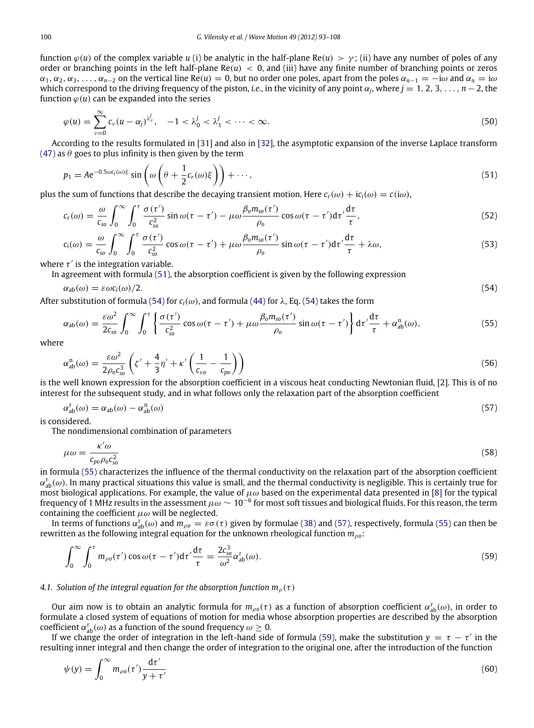function  $\varphi(u)$  of the complex variable *u* (i) be analytic in the half-plane Re(*u*) >  $\gamma$ ; (ii) have any number of poles of any order or branching points in the left half-plane  $Re(u) < 0$ , and (iii) have any finite number of branching points or zeros  $\alpha_1, \alpha_2, \alpha_3, \ldots, \alpha_{n-2}$  on the vertical line Re(*u*) = 0, but no order one poles, apart from the poles  $\alpha_{n-1} = -i\omega$  and  $\alpha_n = i\omega$ which correspond to the driving frequency of the piston, *i.e.*, in the vicinity of any point  $\alpha_j$ , where  $j = 1, 2, 3, \ldots, n-2$ , the function  $\varphi(u)$  can be expanded into the series

$$
\varphi(u)=\sum_{\nu=0}^{\infty}c_{\nu}(u-\alpha_j)^{\lambda_{\nu}^j}, \quad -1<\lambda_0^j<\lambda_1^j<\cdots<\infty.
$$
\n
$$
(50)
$$

According to the results formulated in [\[31\]](#page-14-26) and also in [\[32\]](#page-14-27), the asymptotic expansion of the inverse Laplace transform [\(47\)](#page-6-1) as  $\theta$  goes to plus infinity is then given by the term

<span id="page-7-0"></span>
$$
p_1 = A e^{-0.5\omega c_i(\omega)\xi} \sin\left(\omega\left(\theta + \frac{1}{2}c_r(\omega)\xi\right)\right) + \cdots,
$$
\n(51)

plus the sum of functions that describe the decaying transient motion. Here  $c_r(\omega) + ic_i(\omega) = c(i\omega)$ .

$$
c_r(\omega) = \frac{\omega}{c_{so}} \int_0^\infty \int_0^\tau \frac{\sigma(\tau')}{c_{so}^2} \sin \omega(\tau - \tau') - \mu \omega \frac{\beta_0 m_{so}(\tau')}{\rho_0} \cos \omega(\tau - \tau') d\tau' \frac{d\tau}{\tau},\tag{52}
$$

$$
c_i(\omega) = \frac{\omega}{c_{so}} \int_0^\infty \int_0^\tau \frac{\sigma(\tau')}{c_{so}^2} \cos \omega(\tau - \tau') + \mu \omega \frac{\beta_0 m_{so}(\tau')}{\rho_0} \sin \omega(\tau - \tau') d\tau' \frac{d\tau}{\tau} + \lambda \omega,
$$
\n(53)

where  $\tau'$  is the integration variable.

In agreement with formula [\(51\),](#page-7-0) the absorption coefficient is given by the following expression

<span id="page-7-2"></span><span id="page-7-1"></span>
$$
\alpha_{ab}(\omega) = \varepsilon \omega c_i(\omega)/2. \tag{54}
$$

After substitution of formula [\(54\)](#page-7-1) for  $c_i(\omega)$ , and formula [\(44\)](#page-6-2) for  $\lambda$ , Eq. (54) takes the form

$$
\alpha_{ab}(\omega) = \frac{\varepsilon \omega^2}{2c_{so}} \int_0^\infty \int_0^\tau \left\{ \frac{\sigma(\tau')}{c_{so}^2} \cos \omega(\tau - \tau') + \mu \omega \frac{\beta_0 m_{so}(\tau')}{\rho_0} \sin \omega(\tau - \tau') \right\} d\tau' \frac{d\tau}{\tau} + \alpha_{ab}^{\rm n}(\omega),\tag{55}
$$

where

<span id="page-7-6"></span>
$$
\alpha_{ab}^{n}(\omega) = \frac{\varepsilon \omega^2}{2\rho_o c_{so}^3} \left( \zeta' + \frac{4}{3} \eta' + \kappa' \left( \frac{1}{c_{vo}} - \frac{1}{c_{po}} \right) \right)
$$
(56)

is the well known expression for the absorption coefficient in a viscous heat conducting Newtonian fluid, [\[2\]](#page-14-20). This is of no interest for the subsequent study, and in what follows only the relaxation part of the absorption coefficient

$$
\alpha_{ab}^{\rm r}(\omega) = \alpha_{ab}(\omega) - \alpha_{ab}^{\rm n}(\omega) \tag{57}
$$

is considered.

The nondimensional combination of parameters

<span id="page-7-3"></span>
$$
\mu \omega = \frac{\kappa' \omega}{c_{po} \rho_o c_{so}^2} \tag{58}
$$

in formula [\(55\)](#page-7-2) characterizes the influence of the thermal conductivity on the relaxation part of the absorption coefficient  $\alpha_{ab}^{\rm r}(\omega)$ . In many practical situations this value is small, and the thermal conductivity is negligible. This is certainly true for most biological applications. For example, the value of  $\mu\omega$  based on the experimental data presented in [\[8\]](#page-14-25) for the typical frequency of 1 MHz results in the assessment  $\mu\omega \sim 10^{-6}$  for most soft tissues and biological fluids. For this reason, the term containing the coefficient  $\mu\omega$  will be neglected.

In terms of functions  $\alpha_{ab}^r(\omega)$  and  $m_{\rho 0}=\varepsilon\sigma(\tau)$  given by formulae [\(38\)](#page-6-0) and [\(57\),](#page-7-3) respectively, formula [\(55\)](#page-7-2) can then be rewritten as the following integral equation for the unknown rheological function *m*ρ*o*:

<span id="page-7-4"></span>
$$
\int_0^\infty \int_0^\tau m_{\rho o}(\tau') \cos \omega(\tau - \tau') d\tau' \frac{d\tau}{\tau} = \frac{2c_{so}^3}{\omega^2} \alpha_{ab}^{\tau}(\omega).
$$
\n(59)

#### *4.1. Solution of the integral equation for the absorption function*  $m_{\rho}(\tau)$

Our aim now is to obtain an analytic formula for  $m_{\rho\sigma}(\tau)$  as a function of absorption coefficient  $\alpha_{ab}^r(\omega)$ , in order to formulate a closed system of equations of motion for media whose absorption properties are described by the absorption coefficient  $\alpha_{ab}^r(\omega)$  as a function of the sound frequency  $\omega \geq 0$ .

If we change the order of integration in the left-hand side of formula [\(59\),](#page-7-4) make the substitution  $y = \tau - \tau'$  in the resulting inner integral and then change the order of integration to the original one, after the introduction of the function

<span id="page-7-5"></span>
$$
\psi(y) = \int_0^\infty m_{\rho 0}(\tau') \frac{\mathrm{d}\tau'}{y + \tau'}\tag{60}
$$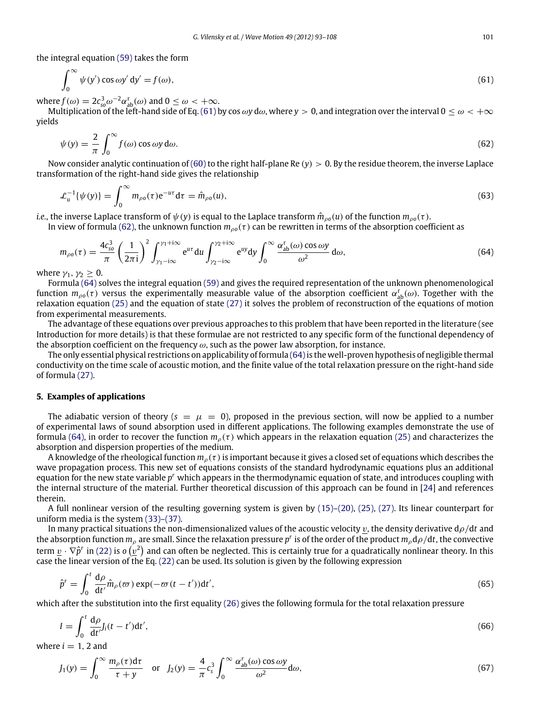the integral equation [\(59\)](#page-7-4) takes the form

<span id="page-8-1"></span>
$$
\int_0^\infty \psi(y') \cos \omega y' \, \mathrm{d}y' = f(\omega),\tag{61}
$$

where  $f(\omega) = 2c_{so}^3 \omega^{-2} \alpha_{ab}^{\rm r}(\omega)$  and  $0 \le \omega < +\infty$ .

Multiplication of the left-hand side of Eq. [\(61\)](#page-8-1) by cos  $\omega y$  d $\omega$ , where  $y > 0$ , and integration over the interval  $0 \le \omega \le +\infty$ yields

<span id="page-8-2"></span>
$$
\psi(y) = \frac{2}{\pi} \int_0^\infty f(\omega) \cos \omega y \, d\omega. \tag{62}
$$

Now consider analytic continuation of [\(60\)](#page-7-5) to the right half-plane Re  $(y) > 0$ . By the residue theorem, the inverse Laplace transformation of the right-hand side gives the relationship

$$
\mathcal{L}_u^{-1}\{\psi(y)\} = \int_0^\infty m_{\rho o}(\tau) e^{-u\tau} d\tau = \hat{m}_{\rho o}(u),\tag{63}
$$

*i.e.*, the inverse Laplace transform of  $\psi(y)$  is equal to the Laplace transform  $\hat{m}_{\rho o}(u)$  of the function  $m_{\rho o}(\tau)$ .

In view of formula [\(62\),](#page-8-2) the unknown function  $m_{\rho 0}(\tau)$  can be rewritten in terms of the absorption coefficient as

<span id="page-8-3"></span>
$$
m_{\rho o}(\tau) = \frac{4c_{so}^3}{\pi} \left(\frac{1}{2\pi i}\right)^2 \int_{\gamma_1 - i\infty}^{\gamma_1 + i\infty} e^{u\tau} du \int_{\gamma_2 - i\infty}^{\gamma_2 + i\infty} e^{uy} dy \int_0^\infty \frac{\alpha_{ab}^r(\omega) \cos \omega y}{\omega^2} d\omega, \tag{64}
$$

where  $\gamma_1, \gamma_2 \geq 0$ .

Formula [\(64\)](#page-8-3) solves the integral equation [\(59\)](#page-7-4) and gives the required representation of the unknown phenomenological function  $m_{\rho\sigma}(\tau)$  versus the experimentally measurable value of the absorption coefficient  $\alpha_{ab}^r(\omega)$ . Together with the relaxation equation [\(25\)](#page-4-3) and the equation of state [\(27\)](#page-4-4) it solves the problem of reconstruction of the equations of motion from experimental measurements.

The advantage of these equations over previous approaches to this problem that have been reported in the literature (see Introduction for more details) is that these formulae are not restricted to any specific form of the functional dependency of the absorption coefficient on the frequency  $\omega$ , such as the power law absorption, for instance.

The only essential physical restrictions on applicability of formula [\(64\)](#page-8-3)is the well-proven hypothesis of negligible thermal conductivity on the time scale of acoustic motion, and the finite value of the total relaxation pressure on the right-hand side of formula [\(27\).](#page-4-4)

#### <span id="page-8-0"></span>**5. Examples of applications**

The adiabatic version of theory ( $s = \mu = 0$ ), proposed in the previous section, will now be applied to a number of experimental laws of sound absorption used in different applications. The following examples demonstrate the use of formula [\(64\),](#page-8-3) in order to recover the function  $m<sub>o</sub>(\tau)$  which appears in the relaxation equation [\(25\)](#page-4-3) and characterizes the absorption and dispersion properties of the medium.

A knowledge of the rheological function  $m_p(\tau)$  is important because it gives a closed set of equations which describes the wave propagation process. This new set of equations consists of the standard hydrodynamic equations plus an additional equation for the new state variable *p <sup>r</sup>* which appears in the thermodynamic equation of state, and introduces coupling with the internal structure of the material. Further theoretical discussion of this approach can be found in [\[24\]](#page-14-17) and references therein.

A full nonlinear version of the resulting governing system is given by [\(15\)–\(20\),](#page-3-8) [\(25\),](#page-4-3) [\(27\).](#page-4-4) Its linear counterpart for uniform media is the system [\(33\)–\(37\).](#page-5-2)

In many practical situations the non-dimensionalized values of the acoustic velocity v, the density derivative  $d\rho/dt$  and the absorption function  $m_\rho$  are small. Since the relaxation pressure  $p^r$  is of the order of the product  $m_\rho{\rm d}\rho/{\rm d}t$ , the convective term  $\underline{v}\cdot\nabla\hat{p}^r$  in [\(22\)](#page-4-2) is  $o\left(\underline{v}^2\right)$  and can often be neglected. This is certainly true for a quadratically nonlinear theory. In this case the linear version of the Eq. [\(22\)](#page-4-2) can be used. Its solution is given by the following expression

$$
\hat{p}^r = \int_0^t \frac{d\rho}{dt'} \hat{m}_\rho(\varpi) \exp(-\varpi(t - t'))dt',\tag{65}
$$

which after the substitution into the first equality [\(26\)](#page-4-5) gives the following formula for the total relaxation pressure

<span id="page-8-5"></span>
$$
I = \int_0^t \frac{\mathrm{d}\rho}{\mathrm{d}t'} J_i(t - t') \mathrm{d}t',\tag{66}
$$

where  $i = 1, 2$  and

<span id="page-8-4"></span>
$$
J_1(y) = \int_0^\infty \frac{m_\rho(\tau) d\tau}{\tau + y} \quad \text{or} \quad J_2(y) = \frac{4}{\pi} c_s^3 \int_0^\infty \frac{\alpha_{ab}^r(\omega) \cos \omega y}{\omega^2} d\omega, \tag{67}
$$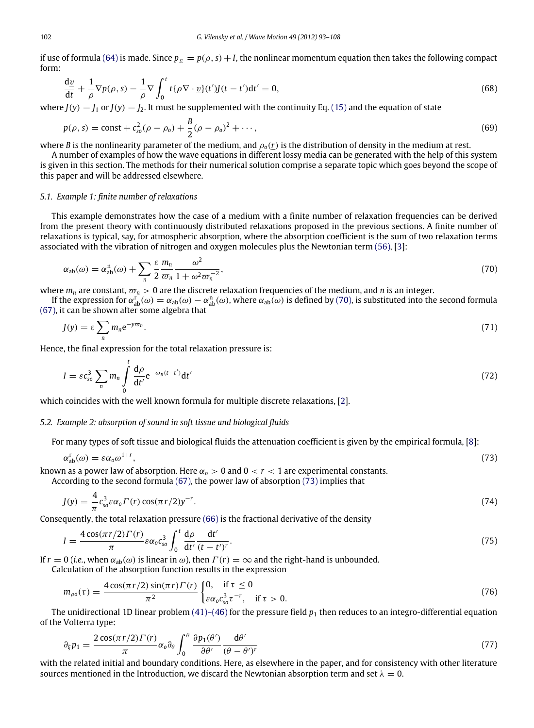if use of formula [\(64\)](#page-8-3) is made. Since  $p_{\overline{y}} = p(\rho, s) + I$ , the nonlinear momentum equation then takes the following compact form:

<span id="page-9-3"></span>
$$
\frac{d\upsilon}{dt} + \frac{1}{\rho} \nabla p(\rho, s) - \frac{1}{\rho} \nabla \int_0^t t \{\rho \nabla \cdot \underline{\upsilon}\}(t') J(t - t') dt' = 0,
$$
\n(68)

where  $J(y) = J_1$  or  $J(y) = J_2$ . It must be supplemented with the continuity Eq. [\(15\)](#page-3-8) and the equation of state

<span id="page-9-4"></span>
$$
p(\rho, s) = \text{const} + c_{so}^2 (\rho - \rho_o) + \frac{B}{2} (\rho - \rho_o)^2 + \cdots,
$$
\n(69)

where *B* is the nonlinearity parameter of the medium, and  $\rho_0(r)$  is the distribution of density in the medium at rest.

A number of examples of how the wave equations in different lossy media can be generated with the help of this system is given in this section. The methods for their numerical solution comprise a separate topic which goes beyond the scope of this paper and will be addressed elsewhere.

## *5.1. Example 1: finite number of relaxations*

This example demonstrates how the case of a medium with a finite number of relaxation frequencies can be derived from the present theory with continuously distributed relaxations proposed in the previous sections. A finite number of relaxations is typical, say, for atmospheric absorption, where the absorption coefficient is the sum of two relaxation terms associated with the vibration of nitrogen and oxygen molecules plus the Newtonian term [\(56\),](#page-7-6) [\[3\]](#page-14-13):

<span id="page-9-0"></span>
$$
\alpha_{ab}(\omega) = \alpha_{ab}^n(\omega) + \sum_{n} \frac{\varepsilon}{2} \frac{m_n}{\varpi_n} \frac{\omega^2}{1 + \omega^2 \varpi_n^{-2}},\tag{70}
$$

where  $m_n$  are constant,  $\varpi_n > 0$  are the discrete relaxation frequencies of the medium, and *n* is an integer.

If the expression for  $\alpha_{ab}^r(\omega) = \alpha_{ab}(\omega) - \alpha_{ab}^n(\omega)$ , where  $\alpha_{ab}(\omega)$  is defined by [\(70\),](#page-9-0) is substituted into the second formula [\(67\),](#page-8-4) it can be shown after some algebra that

$$
J(y) = \varepsilon \sum_{n} m_n e^{-y\varpi_n}.
$$
 (71)

Hence, the final expression for the total relaxation pressure is:

<span id="page-9-6"></span>
$$
I = \varepsilon c_{\rm so}^3 \sum_n m_n \int\limits_0^t \frac{\mathrm{d}\rho}{\mathrm{d}t'} \mathrm{e}^{-\varpi_n(t-t')} \mathrm{d}t'
$$
\n(72)

which coincides with the well known formula for multiple discrete relaxations, [\[2\]](#page-14-20).

## *5.2. Example 2: absorption of sound in soft tissue and biological fluids*

For many types of soft tissue and biological fluids the attenuation coefficient is given by the empirical formula, [\[8\]](#page-14-25):

<span id="page-9-1"></span>
$$
\alpha_{ab}^r(\omega) = \varepsilon \alpha_0 \omega^{1+r},\tag{73}
$$

known as a power law of absorption. Here  $\alpha_0 > 0$  and  $0 < r < 1$  are experimental constants.

According to the second formula [\(67\),](#page-8-4) the power law of absorption [\(73\)](#page-9-1) implies that

<span id="page-9-5"></span>
$$
J(y) = \frac{4}{\pi} c_{so}^3 \varepsilon \alpha_o \Gamma(r) \cos(\pi r/2) y^{-r}.
$$
\n(74)

Consequently, the total relaxation pressure [\(66\)](#page-8-5) is the fractional derivative of the density

$$
I = \frac{4\cos(\pi r/2)\Gamma(r)}{\pi} \varepsilon \alpha_o c_{so}^3 \int_0^t \frac{d\rho}{dt'} \frac{dt'}{(t-t')^r}.
$$
\n(75)

If  $r = 0$  (*i.e.*, when  $\alpha_{ab}(\omega)$  is linear in  $\omega$ ), then  $\Gamma(r) = \infty$  and the right-hand is unbounded.

Calculation of the absorption function results in the expression

$$
m_{\rho o}(\tau) = \frac{4\cos(\pi r/2)\sin(\pi r)\Gamma(r)}{\pi^2} \begin{cases} 0, & \text{if } \tau \le 0\\ \varepsilon \alpha_0 c_{so}^3 \tau^{-r}, & \text{if } \tau > 0. \end{cases}
$$
 (76)

The unidirectional 1D linear problem  $(41)$ – $(46)$  for the pressure field  $p_1$  then reduces to an integro-differential equation of the Volterra type:

<span id="page-9-2"></span>
$$
\partial_{\xi} p_1 = \frac{2 \cos(\pi r/2) \Gamma(r)}{\pi} \alpha_o \partial_{\theta} \int_0^{\theta} \frac{\partial p_1(\theta')}{\partial \theta'} \frac{d\theta'}{(\theta - \theta')^r}
$$
(77)

with the related initial and boundary conditions. Here, as elsewhere in the paper, and for consistency with other literature sources mentioned in the Introduction, we discard the Newtonian absorption term and set  $\lambda = 0$ .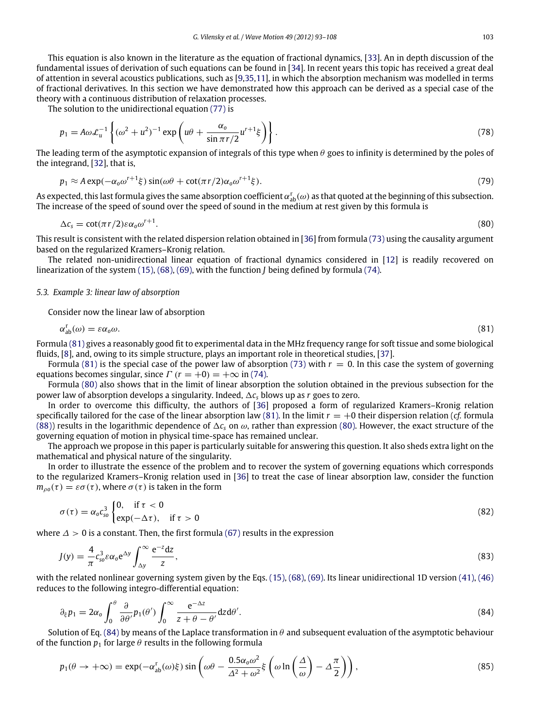This equation is also known in the literature as the equation of fractional dynamics, [\[33\]](#page-14-28). An in depth discussion of the fundamental issues of derivation of such equations can be found in [\[34\]](#page-15-0). In recent years this topic has received a great deal of attention in several acoustics publications, such as [\[9,](#page-14-3)[35](#page-15-1)[,11\]](#page-14-5), in which the absorption mechanism was modelled in terms of fractional derivatives. In this section we have demonstrated how this approach can be derived as a special case of the theory with a continuous distribution of relaxation processes.

The solution to the unidirectional equation [\(77\)](#page-9-2) is

$$
p_1 = A\omega \mathcal{L}_u^{-1} \left\{ (\omega^2 + u^2)^{-1} \exp\left( u\theta + \frac{\alpha_0}{\sin \pi r/2} u^{r+1} \xi \right) \right\}.
$$
 (78)

The leading term of the asymptotic expansion of integrals of this type when  $\theta$  goes to infinity is determined by the poles of the integrand, [\[32\]](#page-14-27), that is,

$$
p_1 \approx A \exp(-\alpha_0 \omega^{r+1} \xi) \sin(\omega \theta + \cot(\pi r/2) \alpha_0 \omega^{r+1} \xi). \tag{79}
$$

As expected, this last formula gives the same absorption coefficient  $\alpha_{\rm ab}^{\rm r}(\omega)$  as that quoted at the beginning of this subsection. The increase of the speed of sound over the speed of sound in the medium at rest given by this formula is

<span id="page-10-1"></span>
$$
\Delta c_s = \cot(\pi r/2) \varepsilon \alpha_0 \omega^{r+1}.
$$
\n(80)

This result is consistent with the related dispersion relation obtained in [\[36\]](#page-15-2) from formula [\(73\)](#page-9-1) using the causality argument based on the regularized Kramers–Kronig relation.

The related non-unidirectional linear equation of fractional dynamics considered in [\[12\]](#page-14-6) is readily recovered on linearization of the system [\(15\),](#page-3-8) [\(68\),](#page-9-3) [\(69\),](#page-9-4) with the function *J* being defined by formula [\(74\).](#page-9-5)

### <span id="page-10-5"></span>*5.3. Example 3: linear law of absorption*

Consider now the linear law of absorption

<span id="page-10-0"></span>
$$
\alpha_{ab}^{\mathbf{r}}(\omega) = \varepsilon \alpha_0 \omega. \tag{81}
$$

Formula [\(81\)](#page-10-0) gives a reasonably good fit to experimental data in the MHz frequency range for soft tissue and some biological fluids, [\[8\]](#page-14-25), and, owing to its simple structure, plays an important role in theoretical studies, [\[37\]](#page-15-3).

Formula [\(81\)](#page-10-0) is the special case of the power law of absorption [\(73\)](#page-9-1) with  $r = 0$ . In this case the system of governing equations becomes singular, since  $\Gamma$  ( $r = +0$ ) =  $+\infty$  in [\(74\).](#page-9-5)

Formula [\(80\)](#page-10-1) also shows that in the limit of linear absorption the solution obtained in the previous subsection for the power law of absorption develops a singularity. Indeed,  $\Delta c_s$  blows up as *r* goes to zero.

In order to overcome this difficulty, the authors of [\[36\]](#page-15-2) proposed a form of regularized Kramers–Kronig relation specifically tailored for the case of the linear absorption law  $(81)$ . In the limit  $r = +0$  their dispersion relation (*cf.* formula [\(88\)\)](#page-11-0) results in the logarithmic dependence of  $\Delta c_s$  on  $\omega$ , rather than expression [\(80\).](#page-10-1) However, the exact structure of the governing equation of motion in physical time-space has remained unclear.

The approach we propose in this paper is particularly suitable for answering this question. It also sheds extra light on the mathematical and physical nature of the singularity.

In order to illustrate the essence of the problem and to recover the system of governing equations which corresponds to the regularized Kramers–Kronig relation used in [\[36\]](#page-15-2) to treat the case of linear absorption law, consider the function  $m_{oo}(\tau) = \varepsilon \sigma(\tau)$ , where  $\sigma(\tau)$  is taken in the form

<span id="page-10-3"></span>
$$
\sigma(\tau) = \alpha_0 c_{so}^3 \begin{cases} 0, & \text{if } \tau < 0 \\ \exp(-\Delta \tau), & \text{if } \tau > 0 \end{cases}
$$
 (82)

where  $\Delta > 0$  is a constant. Then, the first formula [\(67\)](#page-8-4) results in the expression

<span id="page-10-4"></span>
$$
J(y) = \frac{4}{\pi} c_{so}^3 \varepsilon \alpha_o e^{\Delta y} \int_{\Delta y}^{\infty} \frac{e^{-z} dz}{z},
$$
\n(83)

with the related nonlinear governing system given by the Eqs. [\(15\),](#page-3-8) [\(68\),](#page-9-3) [\(69\).](#page-9-4) Its linear unidirectional 1D version [\(41\),](#page-6-3) [\(46\)](#page-6-4) reduces to the following integro-differential equation:

<span id="page-10-2"></span>
$$
\partial_{\xi} p_1 = 2\alpha_o \int_0^{\theta} \frac{\partial}{\partial \theta'} p_1(\theta') \int_0^{\infty} \frac{e^{-\Delta z}}{z + \theta - \theta'} dz d\theta'.
$$
 (84)

Solution of Eq. [\(84\)](#page-10-2) by means of the Laplace transformation in  $\theta$  and subsequent evaluation of the asymptotic behaviour of the function  $p_1$  for large  $\theta$  results in the following formula

$$
p_1(\theta \to +\infty) = \exp(-\alpha_{ab}^r(\omega)\xi) \sin\left(\omega\theta - \frac{0.5\alpha_0\omega^2}{\Delta^2 + \omega^2}\xi\left(\omega\ln\left(\frac{\Delta}{\omega}\right) - \Delta\frac{\pi}{2}\right)\right),\tag{85}
$$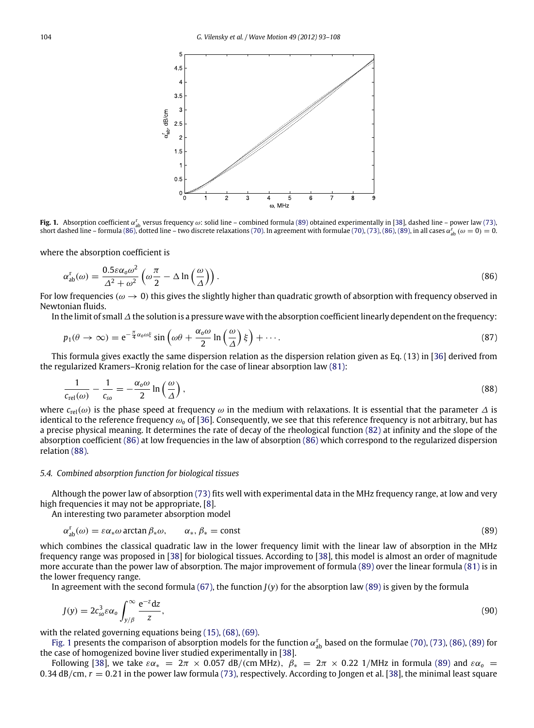<span id="page-11-3"></span><span id="page-11-2"></span>

**Fig. 1.** Absorption coefficient  $\alpha_{\rm ab}^{\rm r}$  versus frequency  $\omega$ : solid line – combined formula [\(89\)](#page-11-1) obtained experimentally in [\[38\]](#page-15-4), dashed line – power law [\(73\),](#page-9-1) short dashed line – formula [\(86\),](#page-11-2) dotted line – two discrete relaxations [\(70\).](#page-9-0) In agreement with formulae [\(70\),](#page-9-0) [\(73\),](#page-9-1) (86), [\(89\),](#page-11-1) in all cases  $\alpha_{\rm ab}^{\rm r}$  ( $\omega = 0$ )  $= 0$ .

where the absorption coefficient is

$$
\alpha_{ab}^{r}(\omega) = \frac{0.5\varepsilon\alpha_0\omega^2}{\Delta^2 + \omega^2} \left(\omega\frac{\pi}{2} - \Delta\ln\left(\frac{\omega}{\Delta}\right)\right). \tag{86}
$$

For low frequencies ( $\omega \to 0$ ) this gives the slightly higher than quadratic growth of absorption with frequency observed in Newtonian fluids.

In the limit of small  $\Delta$  the solution is a pressure wave with the absorption coefficient linearly dependent on the frequency:

$$
p_1(\theta \to \infty) = e^{-\frac{\pi}{4}\alpha_0 \omega \xi} \sin\left(\omega \theta + \frac{\alpha_0 \omega}{2} \ln\left(\frac{\omega}{\Delta}\right) \xi\right) + \cdots. \tag{87}
$$

This formula gives exactly the same dispersion relation as the dispersion relation given as Eq. (13) in [\[36\]](#page-15-2) derived from the regularized Kramers–Kronig relation for the case of linear absorption law [\(81\):](#page-10-0)

<span id="page-11-0"></span>
$$
\frac{1}{c_{\text{rel}}(\omega)} - \frac{1}{c_{\text{so}}} = -\frac{\alpha_o \omega}{2} \ln\left(\frac{\omega}{\Delta}\right),\tag{88}
$$

where  $c_{rel}(\omega)$  is the phase speed at frequency  $\omega$  in the medium with relaxations. It is essential that the parameter  $\Delta$  is identical to the reference frequency ω*<sup>o</sup>* of [\[36\]](#page-15-2). Consequently, we see that this reference frequency is not arbitrary, but has a precise physical meaning. It determines the rate of decay of the rheological function [\(82\)](#page-10-3) at infinity and the slope of the absorption coefficient [\(86\)](#page-11-2) at low frequencies in the law of absorption [\(86\)](#page-11-2) which correspond to the regularized dispersion relation [\(88\).](#page-11-0)

#### <span id="page-11-5"></span>*5.4. Combined absorption function for biological tissues*

Although the power law of absorption [\(73\)](#page-9-1) fits well with experimental data in the MHz frequency range, at low and very high frequencies it may not be appropriate, [\[8\]](#page-14-25).

An interesting two parameter absorption model

<span id="page-11-1"></span>
$$
\alpha_{ab}^{\mathsf{T}}(\omega) = \varepsilon \alpha_* \omega \arctan \beta_* \omega, \qquad \alpha_*, \beta_* = \text{const}
$$
\n(89)

which combines the classical quadratic law in the lower frequency limit with the linear law of absorption in the MHz frequency range was proposed in [\[38\]](#page-15-4) for biological tissues. According to [\[38\]](#page-15-4), this model is almost an order of magnitude more accurate than the power law of absorption. The major improvement of formula [\(89\)](#page-11-1) over the linear formula [\(81\)](#page-10-0) is in the lower frequency range.

In agreement with the second formula [\(67\),](#page-8-4) the function  $J(y)$  for the absorption law [\(89\)](#page-11-1) is given by the formula

<span id="page-11-4"></span>
$$
J(y) = 2c_{so}^3 \varepsilon \alpha_o \int_{y/\beta}^{\infty} \frac{e^{-z} dz}{z},
$$
\n(90)

with the related governing equations being [\(15\),](#page-3-8) [\(68\),](#page-9-3) [\(69\).](#page-9-4)

[Fig. 1](#page-11-3) presents the comparison of absorption models for the function  $\alpha_{ab}^r$  based on the formulae [\(70\),](#page-9-0) [\(73\),](#page-9-1) [\(86\),](#page-11-2) [\(89\)](#page-11-1) for the case of homogenized bovine liver studied experimentally in [\[38\]](#page-15-4).

Following [\[38\]](#page-15-4), we take  $\varepsilon \alpha_* = 2\pi \times 0.057$  dB/(cm MHz),  $\beta_* = 2\pi \times 0.22$  1/MHz in formula [\(89\)](#page-11-1) and  $\varepsilon \alpha_0$  = 0.34 dB/cm,  $r = 0.21$  in the power law formula [\(73\),](#page-9-1) respectively. According to Jongen et al. [\[38\]](#page-15-4), the minimal least square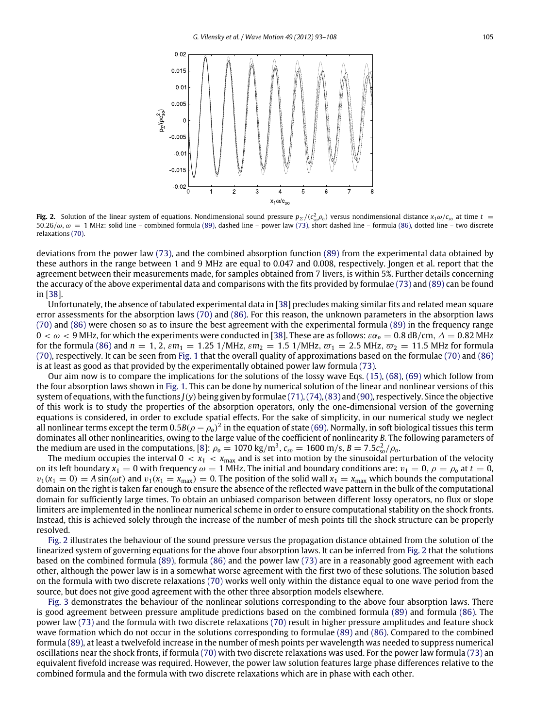<span id="page-12-0"></span>

**Fig. 2.** Solution of the linear system of equations. Nondimensional sound pressure  $p_\Sigma/(c_{so}^2\rho_o)$  versus nondimensional distance  $x_1\omega/c_{so}$  at time  $t$  =  $50.26/\omega$ ,  $\omega = 1$  MHz: solid line – combined formula [\(89\),](#page-11-1) dashed line – power law [\(73\),](#page-9-1) short dashed line – formula [\(86\),](#page-11-2) dotted line – two discrete relaxations [\(70\).](#page-9-0)

deviations from the power law [\(73\),](#page-9-1) and the combined absorption function [\(89\)](#page-11-1) from the experimental data obtained by these authors in the range between 1 and 9 MHz are equal to 0.047 and 0.008, respectively. Jongen et al. report that the agreement between their measurements made, for samples obtained from 7 livers, is within 5%. Further details concerning the accuracy of the above experimental data and comparisons with the fits provided by formulae [\(73\)](#page-9-1) and [\(89\)](#page-11-1) can be found in [\[38\]](#page-15-4).

Unfortunately, the absence of tabulated experimental data in [\[38\]](#page-15-4) precludes making similar fits and related mean square error assessments for the absorption laws [\(70\)](#page-9-0) and [\(86\).](#page-11-2) For this reason, the unknown parameters in the absorption laws [\(70\)](#page-9-0) and [\(86\)](#page-11-2) were chosen so as to insure the best agreement with the experimental formula [\(89\)](#page-11-1) in the frequency range  $0 < \omega < 9$  MHz, for which the experiments were conducted in [\[38\]](#page-15-4). These are as follows:  $\varepsilon \alpha_0 = 0.8$  dB/cm,  $\Delta = 0.82$  MHz for the formula [\(86\)](#page-11-2) and  $n = 1, 2, \varepsilon m_1 = 1.25$  1/MHz,  $\varepsilon m_2 = 1.5$  1/MHz,  $\sigma_1 = 2.5$  MHz,  $\sigma_2 = 11.5$  MHz for formula [\(70\),](#page-9-0) respectively. It can be seen from [Fig. 1](#page-11-3) that the overall quality of approximations based on the formulae [\(70\)](#page-9-0) and [\(86\)](#page-11-2) is at least as good as that provided by the experimentally obtained power law formula [\(73\).](#page-9-1)

Our aim now is to compare the implications for the solutions of the lossy wave Eqs. [\(15\),](#page-3-8) [\(68\),](#page-9-3) [\(69\)](#page-9-4) which follow from the four absorption laws shown in [Fig. 1.](#page-11-3) This can be done by numerical solution of the linear and nonlinear versions of this system of equations, with the functions *J*(*y*) being given by formulae [\(71\),](#page-9-6)[\(74\),](#page-9-5)[\(83\)](#page-10-4) and [\(90\),](#page-11-4) respectively. Since the objective of this work is to study the properties of the absorption operators, only the one-dimensional version of the governing equations is considered, in order to exclude spatial effects. For the sake of simplicity, in our numerical study we neglect all nonlinear terms except the term 0.5B( $\rho-\rho_o$ )<sup>2</sup> in the equation of state [\(69\).](#page-9-4) Normally, in soft biological tissues this term dominates all other nonlinearities, owing to the large value of the coefficient of nonlinearity *B*. The following parameters of the medium are used in the computations, [\[8\]](#page-14-25):  $\rho_o = 1070 \text{ kg/m}^3$ ,  $c_{so} = 1600 \text{ m/s}$ ,  $B = 7.5c_{so}^2/\rho_o$ .

The medium occupies the interval  $0 < x_1 < x_{\text{max}}$  and is set into motion by the sinusoidal perturbation of the velocity on its left boundary  $x_1 = 0$  with frequency  $\omega = 1$  MHz. The initial and boundary conditions are:  $v_1 = 0$ ,  $\rho = \rho_0$  at  $t = 0$ ,  $v_1(x_1 = 0) = A \sin(\omega t)$  and  $v_1(x_1 = x_{\text{max}}) = 0$ . The position of the solid wall  $x_1 = x_{\text{max}}$  which bounds the computational domain on the right is taken far enough to ensure the absence of the reflected wave pattern in the bulk of the computational domain for sufficiently large times. To obtain an unbiased comparison between different lossy operators, no flux or slope limiters are implemented in the nonlinear numerical scheme in order to ensure computational stability on the shock fronts. Instead, this is achieved solely through the increase of the number of mesh points till the shock structure can be properly resolved.

[Fig. 2](#page-12-0) illustrates the behaviour of the sound pressure versus the propagation distance obtained from the solution of the linearized system of governing equations for the above four absorption laws. It can be inferred from [Fig. 2](#page-12-0) that the solutions based on the combined formula [\(89\),](#page-11-1) formula [\(86\)](#page-11-2) and the power law [\(73\)](#page-9-1) are in a reasonably good agreement with each other, although the power law is in a somewhat worse agreement with the first two of these solutions. The solution based on the formula with two discrete relaxations [\(70\)](#page-9-0) works well only within the distance equal to one wave period from the source, but does not give good agreement with the other three absorption models elsewhere.

[Fig. 3](#page-13-0) demonstrates the behaviour of the nonlinear solutions corresponding to the above four absorption laws. There is good agreement between pressure amplitude predictions based on the combined formula [\(89\)](#page-11-1) and formula [\(86\).](#page-11-2) The power law [\(73\)](#page-9-1) and the formula with two discrete relaxations [\(70\)](#page-9-0) result in higher pressure amplitudes and feature shock wave formation which do not occur in the solutions corresponding to formulae [\(89\)](#page-11-1) and [\(86\).](#page-11-2) Compared to the combined formula [\(89\),](#page-11-1) at least a twelvefold increase in the number of mesh points per wavelength was needed to suppress numerical oscillations near the shock fronts, if formula [\(70\)](#page-9-0) with two discrete relaxations was used. For the power law formula [\(73\)](#page-9-1) an equivalent fivefold increase was required. However, the power law solution features large phase differences relative to the combined formula and the formula with two discrete relaxations which are in phase with each other.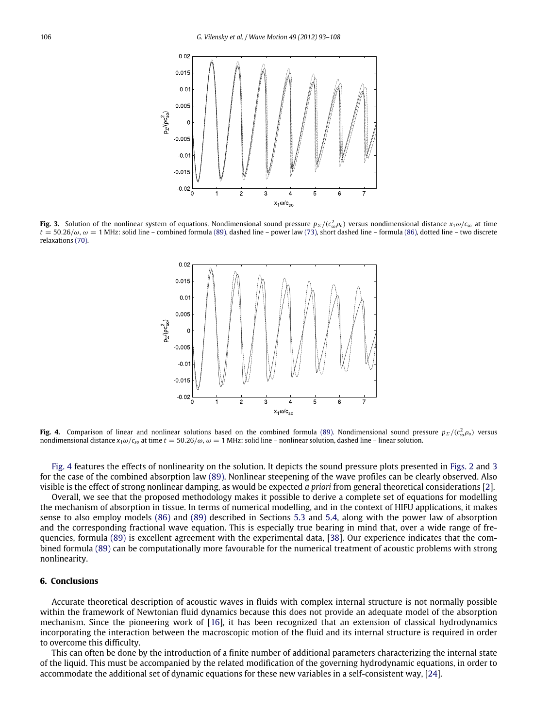<span id="page-13-0"></span>

<span id="page-13-1"></span>**Fig. 3.** Solution of the nonlinear system of equations. Nondimensional sound pressure *p*<sup>Σ</sup> /(*c* 2 *so*ρ*o*) versus nondimensional distance *x*1ω/*cso* at time  $t = 50.26/\omega$ ,  $\omega = 1$  MHz: solid line – combined formula [\(89\),](#page-11-1) dashed line – power law [\(73\),](#page-9-1) short dashed line – formula [\(86\),](#page-11-2) dotted line – two discrete relaxations [\(70\).](#page-9-0)



**Fig. 4.** Comparison of linear and nonlinear solutions based on the combined formula [\(89\).](#page-11-1) Nondimensional sound pressure *p*<sup>Σ</sup> /(*c* 2 *so*ρ*o*) versus nondimensional distance  $x_1\omega/c_{so}$  at time  $t = 50.26/\omega$ ,  $\omega = 1$  MHz: solid line – nonlinear solution, dashed line – linear solution.

[Fig. 4](#page-13-1) features the effects of nonlinearity on the solution. It depicts the sound pressure plots presented in [Figs. 2](#page-12-0) and [3](#page-13-0) for the case of the combined absorption law [\(89\).](#page-11-1) Nonlinear steepening of the wave profiles can be clearly observed. Also visible is the effect of strong nonlinear damping, as would be expected *a priori* from general theoretical considerations [\[2\]](#page-14-20).

Overall, we see that the proposed methodology makes it possible to derive a complete set of equations for modelling the mechanism of absorption in tissue. In terms of numerical modelling, and in the context of HIFU applications, it makes sense to also employ models [\(86\)](#page-11-2) and [\(89\)](#page-11-1) described in Sections [5.3](#page-10-5) and [5.4,](#page-11-5) along with the power law of absorption and the corresponding fractional wave equation. This is especially true bearing in mind that, over a wide range of frequencies, formula [\(89\)](#page-11-1) is excellent agreement with the experimental data, [\[38\]](#page-15-4). Our experience indicates that the combined formula [\(89\)](#page-11-1) can be computationally more favourable for the numerical treatment of acoustic problems with strong nonlinearity.

#### **6. Conclusions**

Accurate theoretical description of acoustic waves in fluids with complex internal structure is not normally possible within the framework of Newtonian fluid dynamics because this does not provide an adequate model of the absorption mechanism. Since the pioneering work of [\[16\]](#page-14-10), it has been recognized that an extension of classical hydrodynamics incorporating the interaction between the macroscopic motion of the fluid and its internal structure is required in order to overcome this difficulty.

This can often be done by the introduction of a finite number of additional parameters characterizing the internal state of the liquid. This must be accompanied by the related modification of the governing hydrodynamic equations, in order to accommodate the additional set of dynamic equations for these new variables in a self-consistent way, [\[24\]](#page-14-17).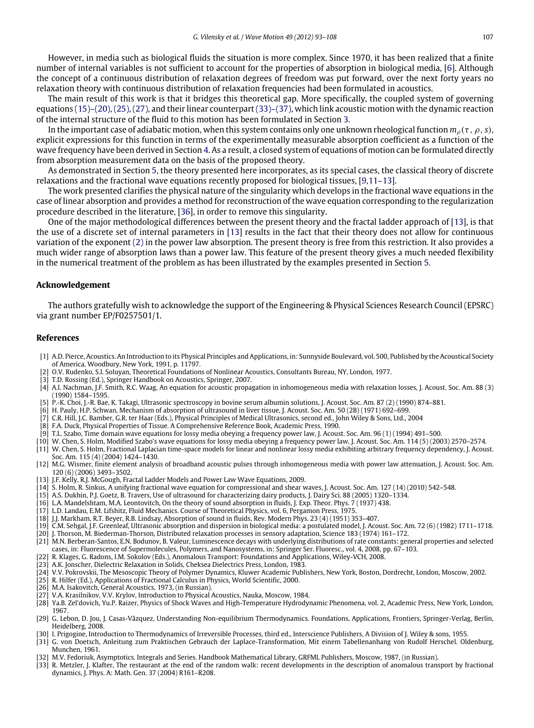However, in media such as biological fluids the situation is more complex. Since 1970, it has been realized that a finite number of internal variables is not sufficient to account for the properties of absorption in biological media, [\[6\]](#page-14-14). Although the concept of a continuous distribution of relaxation degrees of freedom was put forward, over the next forty years no relaxation theory with continuous distribution of relaxation frequencies had been formulated in acoustics.

The main result of this work is that it bridges this theoretical gap. More specifically, the coupled system of governing equations [\(15\)–\(20\),](#page-3-8) [\(25\),](#page-4-3) [\(27\),](#page-4-4) and their linear counterpart [\(33\)–\(37\),](#page-5-2) which link acoustic motion with the dynamic reaction of the internal structure of the fluid to this motion has been formulated in Section [3.](#page-4-0)

In the important case of adiabatic motion, when this system contains only one unknown rheological function *m*<sub>ρ</sub>(τ, ρ, *s*), explicit expressions for this function in terms of the experimentally measurable absorption coefficient as a function of the wave frequency have been derived in Section [4.](#page-5-0) As a result, a closed system of equations of motion can be formulated directly from absorption measurement data on the basis of the proposed theory.

As demonstrated in Section [5,](#page-8-0) the theory presented here incorporates, as its special cases, the classical theory of discrete relaxations and the fractional wave equations recently proposed for biological tissues, [\[9,](#page-14-3)[11–13\]](#page-14-5).

The work presented clarifies the physical nature of the singularity which develops in the fractional wave equations in the case of linear absorption and provides a method for reconstruction of the wave equation corresponding to the regularization procedure described in the literature, [\[36\]](#page-15-2), in order to remove this singularity.

One of the major methodological differences between the present theory and the fractal ladder approach of [\[13\]](#page-14-7), is that the use of a discrete set of internal parameters in [\[13\]](#page-14-7) results in the fact that their theory does not allow for continuous variation of the exponent [\(2\)](#page-1-0) in the power law absorption. The present theory is free from this restriction. It also provides a much wider range of absorption laws than a power law. This feature of the present theory gives a much needed flexibility in the numerical treatment of the problem as has been illustrated by the examples presented in Section [5.](#page-8-0)

#### **Acknowledgement**

The authors gratefully wish to acknowledge the support of the Engineering & Physical Sciences Research Council (EPSRC) via grant number EP/F0257501/1.

#### **References**

- <span id="page-14-0"></span>[1] A.D. Pierce, Acoustics. An Introduction to its Physical Principles and Applications, in: Sunnyside Boulevard, vol. 500, Published by the Acoustical Society of America, Woodbury, New York, 1991, p. 11797.
- <span id="page-14-20"></span>[2] O.V. Rudenko, S.I. Soluyan, Theoretical Foundations of Nonlinear Acoustics, Consultants Bureau, NY, London, 1977.
- <span id="page-14-13"></span>[3] T.D. Rossing (Ed.), Springer Handbook on Acoustics, Springer, 2007.
- <span id="page-14-1"></span>[4] A.I. Nachman, J.F. Smith, R.C. Waag, An equation for acoustic propagation in inhomogeneous media with relaxation losses, J. Acoust. Soc. Am. 88 (3) (1990) 1584–1595.
- <span id="page-14-2"></span>[5] P.-K. Choi, J.-R. Bae, K. Takagi, Ultrasonic spectroscopy in bovine serum albumin solutions, J. Acoust. Soc. Am. 87 (2) (1990) 874–881.
- <span id="page-14-14"></span>[6] H. Pauly, H.P. Schwan, Mechanism of absorption of ultrasound in liver tissue, J. Acoust. Soc. Am. 50 (2B) (1971) 692–699.
- [7] C.R. Hill, J.C. Bamber, G.R. ter Haar (Eds.), Physical Principles of Medical Ultrasonics, second ed., John Wiley & Sons, Ltd., 2004
- <span id="page-14-25"></span>[8] F.A. Duck, Physical Properties of Tissue. A Comprehensive Reference Book, Academic Press, 1990.
- <span id="page-14-3"></span>[9] T.L. Szabo, Time domain wave equations for lossy media obeying a frequency power law, J. Acoust. Soc. Am. 96 (1) (1994) 491–500.
- <span id="page-14-4"></span>[10] W. Chen, S. Holm, Modified Szabo's wave equations for lossy media obeying a frequency power law, J. Acoust. Soc. Am. 114 (5) (2003) 2570–2574.
- <span id="page-14-5"></span>[11] W. Chen, S. Holm, Fractional Laplacian time-space models for linear and nonlinear lossy media exhibiting arbitrary frequency dependency, J. Acoust. Soc. Am. 115 (4) (2004) 1424–1430.
- <span id="page-14-6"></span>[12] M.G. Wismer, finite element analysis of broadband acoustic pulses through inhomogeneous media with power law attenuation, J. Acoust. Soc. Am. 120 (6) (2006) 3493–3502.
- <span id="page-14-7"></span>[13] J.F. Kelly, R.J. McGough, Fractal Ladder Models and Power Law Wave Equations, 2009.
- <span id="page-14-8"></span>[14] S. Holm, R. Sinkus, A unifying fractional wave equation for compressional and shear waves, J. Acoust. Soc. Am. 127 (14) (2010) 542–548.
- <span id="page-14-9"></span>[15] A.S. Dukhin, P.J. Goetz, B. Travers, Use of ultrasound for characterizing dairy products, J. Dairy Sci. 88 (2005) 1320–1334.
- <span id="page-14-10"></span>[16] L.A. Mandelshtam, M.A. Leontovitch, On the theory of sound absorption in fluids, J. Exp. Theor. Phys. 7 (1937) 438.
- <span id="page-14-11"></span>[17] L.D. Landau, E.M. Lifshitz, Fluid Mechanics. Course of Theoretical Physics, vol. 6, Pergamon Press, 1975.
- <span id="page-14-12"></span>[18] J.J. Markham, R.T. Beyer, R.B. Lindsay, Absorption of sound in fluids, Rev. Modern Phys. 23 (4) (1951) 353–407.
- <span id="page-14-15"></span>[19] C.M. Sehgal, J.F. Greenleaf, Ultrasonic absorption and dispersion in biological media: a postulated model, J. Acoust. Soc. Am. 72 (6) (1982) 1711–1718.
- <span id="page-14-16"></span>[20] J. Thorson, M. Biederman-Thorson, Distributed relaxation processes in sensory adaptation, Science 183 (1974) 161–172.
- [21] M.N. Berberan-Santos, E.N. Bodunov, B. Valeur, Luminescence decays with underlying distributions of rate constants: general properties and selected cases, in: Fluorescence of Supermolecules, Polymers, and Nanosystems, in: Springer Ser. Fluoresc., vol. 4, 2008, pp. 67–103.
- [22] R. Klages, G. Radons, I.M. Sokolov (Eds.), Anomalous Transport: Foundations and Applications, Wiley-VCH, 2008.
- [23] A.K. Jonscher, Dielectric Relaxation in Solids, Cheksea Dielectrics Press, London, 1983.
- <span id="page-14-17"></span>[24] V.V. Pokrovskii, The Mesoscopic Theory of Polymer Dynamics, Kluwer Academic Publishers, New York, Boston, Dordrecht, London, Moscow, 2002.
- <span id="page-14-18"></span>[25] R. Hilfer (Ed.), Applications of Fractional Calculus in Physics, World Scientific, 2000.
- <span id="page-14-19"></span>[26] M.A. Isakovitch, General Acoustics, 1973, (in Russian).
- <span id="page-14-21"></span>[27] V.A. Krasilnikov, V.V. Krylov, Introduction to Physical Acoustics, Nauka, Moscow, 1984.
- <span id="page-14-22"></span>[28] Ya.B. Zel'dovich, Yu.P. Raizer, Physics of Shock Waves and High-Temperature Hydrodynamic Phenomena, vol. 2, Academic Press, New York, London, 1967.
- <span id="page-14-23"></span>[29] G. Lebon, D. Jou, J. Casas-Vãzquez, Understanding Non-equilibrium Thermodynamics. Foundations, Applications, Frontiers, Springer-Verlag, Berlin, Heidelberg, 2008.
- <span id="page-14-24"></span>[30] I. Prigogine, Introduction to Thermodynamics of Irreversible Processes, third ed., Interscience Publishers, A Division of J. Wiley & sons, 1955.
- <span id="page-14-26"></span>[31] G. von Doetsch, Anleitung zum Praktischen Gebrauch der Laplace-Transformation, Mit einem Tabellenanhang von Rudolf Herschel. Oldenburg, Munchen, 1961.
- <span id="page-14-27"></span>[32] M.V. Fedoriuk, Asymptotics. Integrals and Series. Handbook Mathematical Library, GRFML Publishers, Moscow, 1987, (in Russian).
- <span id="page-14-28"></span>[33] R. Metzler, J. Klafter, The restaurant at the end of the random walk: recent developments in the description of anomalous transport by fractional dynamics, J. Phys. A: Math. Gen. 37 (2004) R161–R208.